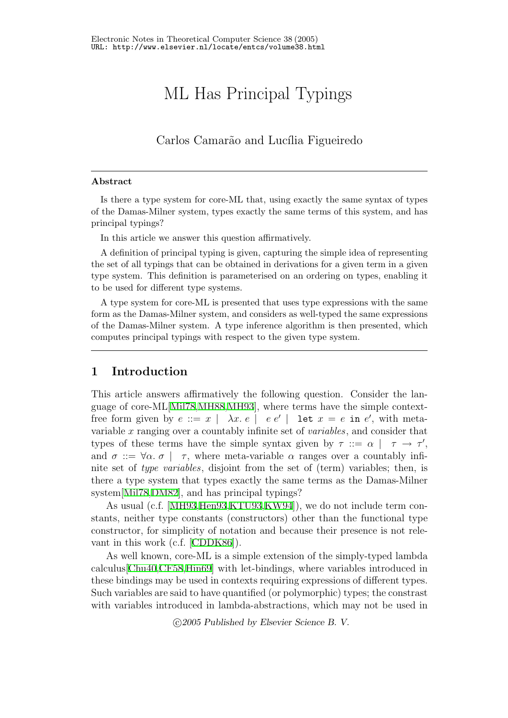# ML Has Principal Typings

Carlos Camarão and Lucília Figueiredo

#### Abstract

Is there a type system for core-ML that, using exactly the same syntax of types of the Damas-Milner system, types exactly the same terms of this system, and has principal typings?

In this article we answer this question affirmatively.

A definition of principal typing is given, capturing the simple idea of representing the set of all typings that can be obtained in derivations for a given term in a given type system. This definition is parameterised on an ordering on types, enabling it to be used for different type systems.

A type system for core-ML is presented that uses type expressions with the same form as the Damas-Milner system, and considers as well-typed the same expressions of the Damas-Milner system. A type inference algorithm is then presented, which computes principal typings with respect to the given type system.

## <span id="page-0-0"></span>1 Introduction

This article answers affirmatively the following question. Consider the language of core-ML[[Mil78,](#page-12-0)[MH88](#page-12-1),[MH93\]](#page-12-2), where terms have the simple contextfree form given by  $e ::= x \mid \lambda x. e \mid e e' \mid$  let  $x = e$  in  $e'$ , with metavariable x ranging over a countably infinite set of variables, and consider that types of these terms have the simple syntax given by  $\tau := \alpha \mid \tau \to \tau'$ , and  $\sigma ::= \forall \alpha$ .  $\sigma \mid \tau$ , where meta-variable  $\alpha$  ranges over a countably infinite set of type variables, disjoint from the set of (term) variables; then, is there a type system that types exactly the same terms as the Damas-Milner system[\[Mil78](#page-12-0)[,DM82\]](#page-11-0), and has principal typings?

As usual (c.f. [\[MH93](#page-12-2)[,Hen93,](#page-12-3)[KTU93](#page-12-4)[,KW94](#page-12-5)]), we do not include term constants, neither type constants (constructors) other than the functional type constructor, for simplicity of notation and because their presence is not relevant in this work (c.f.[[CDDK86](#page-11-1)]).

As well known, core-ML is a simple extension of the simply-typed lambda calculus[[Chu40](#page-11-2),[CF58](#page-11-3),[Hin69\]](#page-12-6) with let-bindings, where variables introduced in these bindings may be used in contexts requiring expressions of different types. Such variables are said to have quantified (or polymorphic) types; the constrast with variables introduced in lambda-abstractions, which may not be used in

c 2005 Published by Elsevier Science B. V.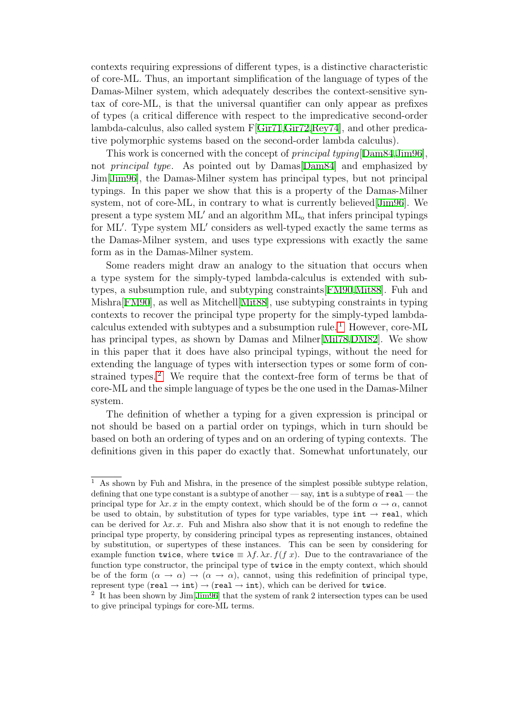contexts requiring expressions of different types, is a distinctive characteristic of core-ML. Thus, an important simplification of the language of types of the Damas-Milner system, which adequately describes the context-sensitive syntax of core-ML, is that the universal quantifier can only appear as prefixes of types (a critical difference with respect to the impredicative second-order lambda-calculus, also called system F[[Gir71](#page-12-7),[Gir72](#page-12-8),[Rey74](#page-12-9)], and other predicative polymorphic systems based on the second-order lambda calculus).

This work is concerned with the concept of principal typing[[Dam84](#page-11-4)[,Jim96\]](#page-12-10), not principal type. As pointed out by Damas[\[Dam84\]](#page-11-4) and emphasized by Jim[\[Jim96\]](#page-12-10), the Damas-Milner system has principal types, but not principal typings. In this paper we show that this is a property of the Damas-Milner system, not of core-ML, in contrary to what is currently believed[[Jim96](#page-12-10)]. We present a type system  $ML'$  and an algorithm  $ML_0$  that infers principal typings for ML'. Type system ML' considers as well-typed exactly the same terms as the Damas-Milner system, and uses type expressions with exactly the same form as in the Damas-Milner system.

Some readers might draw an analogy to the situation that occurs when a type system for the simply-typed lambda-calculus is extended with subtypes, a subsumption rule, and subtyping constraints[\[FM90](#page-11-5),[Mit88\]](#page-12-11). Fuh and Mishra[[FM90\]](#page-11-5), as well as Mitchell[\[Mit88](#page-12-11)], use subtyping constraints in typing contexts to recover the principal type property for the simply-typed lambda-calculus extended with subtypes and a subsumption rule.<sup>[1](#page-1-0)</sup> However, core-ML has principal types, as shown by Damas and Milner[\[Mil78](#page-12-0)[,DM82\]](#page-11-0). We show in this paper that it does have also principal typings, without the need for extending the language of types with intersection types or some form of con-strained types.<sup>[2](#page-1-1)</sup> We require that the context-free form of terms be that of core-ML and the simple language of types be the one used in the Damas-Milner system.

The definition of whether a typing for a given expression is principal or not should be based on a partial order on typings, which in turn should be based on both an ordering of types and on an ordering of typing contexts. The definitions given in this paper do exactly that. Somewhat unfortunately, our

<span id="page-1-0"></span><sup>1</sup> As shown by Fuh and Mishra, in the presence of the simplest possible subtype relation, defining that one type constant is a subtype of another — say, int is a subtype of  $real$ — the principal type for  $\lambda x$ . x in the empty context, which should be of the form  $\alpha \to \alpha$ , cannot be used to obtain, by substitution of types for type variables, type int  $\rightarrow$  real, which can be derived for  $\lambda x$ . The and Mishra also show that it is not enough to redefine the principal type property, by considering principal types as representing instances, obtained by substitution, or supertypes of these instances. This can be seen by considering for example function twice, where twice  $\equiv \lambda f \cdot \lambda x. f(f x)$ . Due to the contravariance of the function type constructor, the principal type of twice in the empty context, which should be of the form  $(\alpha \to \alpha) \to (\alpha \to \alpha)$ , cannot, using this redefinition of principal type, represent type  $(\text{real} \to \text{int}) \to (\text{real} \to \text{int})$ , which can be derived for twice.

<span id="page-1-1"></span><sup>&</sup>lt;sup>2</sup> It has been shown by Jim<sup>[\[Jim96](#page-12-10)]</sup> that the system of rank 2 intersection types can be used to give principal typings for core-ML terms.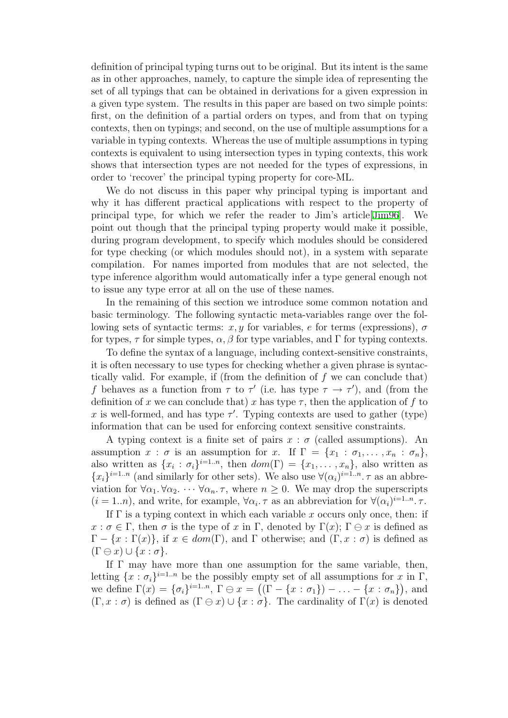definition of principal typing turns out to be original. But its intent is the same as in other approaches, namely, to capture the simple idea of representing the set of all typings that can be obtained in derivations for a given expression in a given type system. The results in this paper are based on two simple points: first, on the definition of a partial orders on types, and from that on typing contexts, then on typings; and second, on the use of multiple assumptions for a variable in typing contexts. Whereas the use of multiple assumptions in typing contexts is equivalent to using intersection types in typing contexts, this work shows that intersection types are not needed for the types of expressions, in order to 'recover' the principal typing property for core-ML.

We do not discuss in this paper why principal typing is important and why it has different practical applications with respect to the property of principal type, for which we refer the reader to Jim's article[[Jim96\]](#page-12-10). We point out though that the principal typing property would make it possible, during program development, to specify which modules should be considered for type checking (or which modules should not), in a system with separate compilation. For names imported from modules that are not selected, the type inference algorithm would automatically infer a type general enough not to issue any type error at all on the use of these names.

In the remaining of this section we introduce some common notation and basic terminology. The following syntactic meta-variables range over the following sets of syntactic terms: x, y for variables, e for terms (expressions),  $\sigma$ for types,  $\tau$  for simple types,  $\alpha$ ,  $\beta$  for type variables, and Γ for typing contexts.

To define the syntax of a language, including context-sensitive constraints, it is often necessary to use types for checking whether a given phrase is syntactically valid. For example, if (from the definition of  $f$  we can conclude that) f behaves as a function from  $\tau$  to  $\tau'$  (i.e. has type  $\tau \to \tau'$ ), and (from the definition of x we can conclude that) x has type  $\tau$ , then the application of f to x is well-formed, and has type  $\tau'$ . Typing contexts are used to gather (type) information that can be used for enforcing context sensitive constraints.

A typing context is a finite set of pairs  $x : \sigma$  (called assumptions). An assumption  $x : \sigma$  is an assumption for x. If  $\Gamma = \{x_1 : \sigma_1, \ldots, x_n : \sigma_n\},\$ also written as  $\{x_i : \sigma_i\}^{i=1..n}$ , then  $dom(\Gamma) = \{x_1, \ldots, x_n\}$ , also written as  ${x_i}^{i=1..n}$  (and similarly for other sets). We also use  $\forall (\alpha_i)^{i=1..n}$ .  $\tau$  as an abbreviation for  $\forall \alpha_1, \forall \alpha_2, \cdots \forall \alpha_n$ .  $\tau$ , where  $n \geq 0$ . We may drop the superscripts  $(i = 1..n)$ , and write, for example,  $\forall \alpha_i$ .  $\tau$  as an abbreviation for  $\forall (\alpha_i)^{i=1..n}$ .  $\tau$ .

If  $\Gamma$  is a typing context in which each variable x occurs only once, then: if  $x : \sigma \in \Gamma$ , then  $\sigma$  is the type of x in  $\Gamma$ , denoted by  $\Gamma(x)$ ;  $\Gamma \ominus x$  is defined as  $\Gamma - \{x : \Gamma(x)\}\$ , if  $x \in dom(\Gamma)$ , and  $\Gamma$  otherwise; and  $(\Gamma, x : \sigma)$  is defined as  $(\Gamma \ominus x) \cup \{x : \sigma\}.$ 

If  $\Gamma$  may have more than one assumption for the same variable, then, letting  $\{x : \sigma_i\}^{i=1..n}$  be the possibly empty set of all assumptions for x in  $\Gamma$ , we define  $\Gamma(x) = {\sigma_i}^{i=1..n}, \Gamma \oplus x = ((\Gamma - \{x : \sigma_1\}) - \ldots - \{x : \sigma_n\}),$  and  $(\Gamma, x : \sigma)$  is defined as  $(\Gamma \ominus x) \cup \{x : \sigma\}$ . The cardinality of  $\Gamma(x)$  is denoted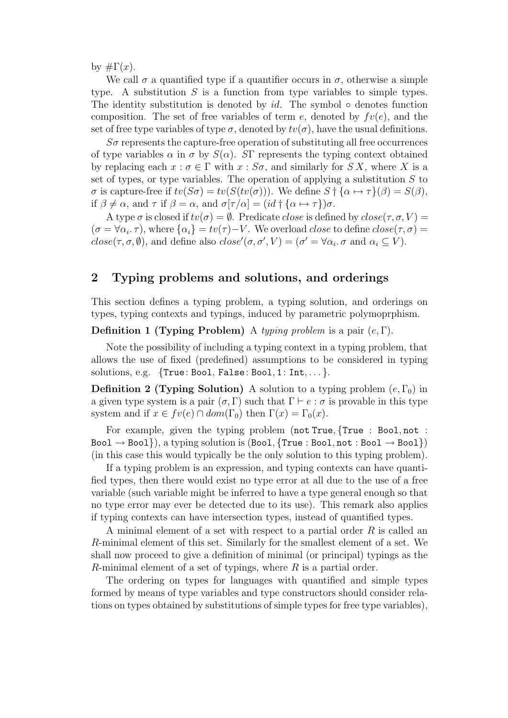by  $\#\Gamma(x)$ .

We call  $\sigma$  a quantified type if a quantifier occurs in  $\sigma$ , otherwise a simple type. A substitution  $S$  is a function from type variables to simple types. The identity substitution is denoted by  $id$ . The symbol  $\circ$  denotes function composition. The set of free variables of term e, denoted by  $fv(e)$ , and the set of free type variables of type  $\sigma$ , denoted by  $tv(\sigma)$ , have the usual definitions.

 $S\sigma$  represents the capture-free operation of substituting all free occurrences of type variables  $\alpha$  in  $\sigma$  by  $S(\alpha)$ . SF represents the typing context obtained by replacing each  $x : \sigma \in \Gamma$  with  $x : S\sigma$ , and similarly for SX, where X is a set of types, or type variables. The operation of applying a substitution  $S$  to σ is capture-free if  $tv(S\sigma) = tv(S(tv(\sigma)))$ . We define  $S \dagger {\alpha \mapsto \tau}(\beta) = S(\beta)$ , if  $\beta \neq \alpha$ , and  $\tau$  if  $\beta = \alpha$ , and  $\sigma[\tau/\alpha] = (id \dagger {\alpha \mapsto \tau})\sigma$ .

A type  $\sigma$  is closed if  $tv(\sigma) = \emptyset$ . Predicate *close* is defined by  $close(\tau, \sigma, V) =$  $(\sigma = \forall \alpha_i, \tau)$ , where  $\{\alpha_i\} = tv(\tau) - V$ . We overload *close* to define  $close(\tau, \sigma) =$  $close(\tau, \sigma, \emptyset)$ , and define also  $close'(\sigma, \sigma', V) = (\sigma' = \forall \alpha_i \ldotp \sigma \text{ and } \alpha_i \subseteq V)$ .

# 2 Typing problems and solutions, and orderings

This section defines a typing problem, a typing solution, and orderings on types, typing contexts and typings, induced by parametric polymoprphism.

#### **Definition 1 (Typing Problem)** A typing problem is a pair  $(e, \Gamma)$ .

Note the possibility of including a typing context in a typing problem, that allows the use of fixed (predefined) assumptions to be considered in typing solutions, e.g.  $\{True: Bool, False: Bool, 1: Int, ...\}$ .

**Definition 2 (Typing Solution)** A solution to a typing problem  $(e, \Gamma_0)$  in a given type system is a pair  $(\sigma, \Gamma)$  such that  $\Gamma \vdash e : \sigma$  is provable in this type system and if  $x \in fv(e) \cap dom(\Gamma_0)$  then  $\Gamma(x) = \Gamma_0(x)$ .

For example, given the typing problem (not True, {True : Bool, not :  $Bool \rightarrow Bool$ }, a typing solution is (Bool, {True : Bool, not : Bool  $\rightarrow$  Bool}) (in this case this would typically be the only solution to this typing problem).

If a typing problem is an expression, and typing contexts can have quantified types, then there would exist no type error at all due to the use of a free variable (such variable might be inferred to have a type general enough so that no type error may ever be detected due to its use). This remark also applies if typing contexts can have intersection types, instead of quantified types.

A minimal element of a set with respect to a partial order R is called an R-minimal element of this set. Similarly for the smallest element of a set. We shall now proceed to give a definition of minimal (or principal) typings as the R-minimal element of a set of typings, where  $R$  is a partial order.

The ordering on types for languages with quantified and simple types formed by means of type variables and type constructors should consider relations on types obtained by substitutions of simple types for free type variables),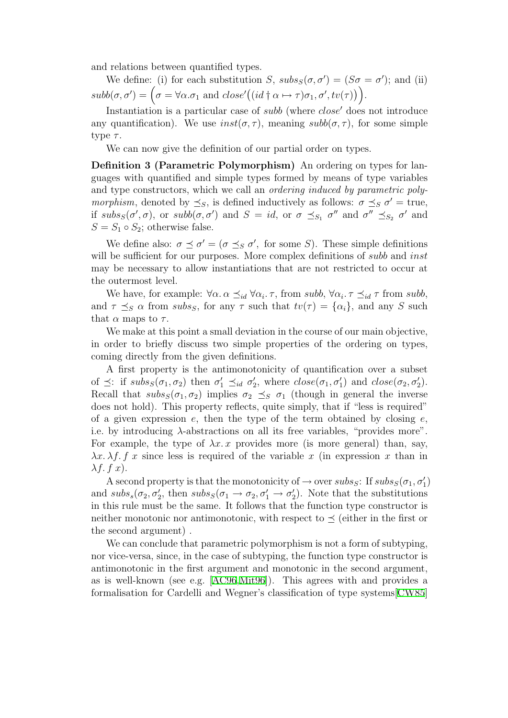and relations between quantified types.

We define: (i) for each substitution S,  $subs_S(\sigma, \sigma') = (S\sigma = \sigma')$ ; and (ii)  $subb(\sigma, \sigma') = (\sigma = \forall \alpha \ldotp \sigma_1 \text{ and } close'((id \dagger \alpha \mapsto \tau) \sigma_1, \sigma', tv(\tau)))$ .

Instantiation is a particular case of *subb* (where *close'* does not introduce any quantification). We use  $inst(\sigma, \tau)$ , meaning  $sub(\sigma, \tau)$ , for some simple type  $\tau$ .

We can now give the definition of our partial order on types.

Definition 3 (Parametric Polymorphism) An ordering on types for languages with quantified and simple types formed by means of type variables and type constructors, which we call an *ordering induced by parametric polymorphism*, denoted by  $\preceq_S$ , is defined inductively as follows:  $\sigma \preceq_S \sigma' = \text{true}$ , if  $subs_S(\sigma', \sigma)$ , or  $subb(\sigma, \sigma')$  and  $S = id$ , or  $\sigma \preceq_{S_1} \sigma''$  and  $\sigma'' \preceq_{S_2} \sigma'$  and  $S = S_1 \circ S_2$ ; otherwise false.

We define also:  $\sigma \preceq \sigma' = (\sigma \preceq_S \sigma', \text{ for some } S)$ . These simple definitions will be sufficient for our purposes. More complex definitions of *subb* and *inst* may be necessary to allow instantiations that are not restricted to occur at the outermost level.

We have, for example:  $\forall \alpha \ldotp \alpha \preceq_{id} \forall \alpha_i \ldotp \tau$ , from subb,  $\forall \alpha_i \ldotp \tau \preceq_{id} \tau$  from subb, and  $\tau \preceq_S \alpha$  from subs<sub>S</sub>, for any  $\tau$  such that  $tv(\tau) = {\alpha_i}$ , and any S such that  $\alpha$  maps to  $\tau$ .

We make at this point a small deviation in the course of our main objective, in order to briefly discuss two simple properties of the ordering on types, coming directly from the given definitions.

A first property is the antimonotonicity of quantification over a subset of  $\preceq$ : if  $subs_S(\sigma_1, \sigma_2)$  then  $\sigma'_1 \preceq_{id} \sigma'_2$ '<sub>2</sub>, where  $close(\sigma_1, \sigma'_1)$  and  $close(\sigma_2, \sigma'_2)$ . Recall that  $subs_S(\sigma_1, \sigma_2)$  implies  $\sigma_2 \preceq_S \sigma_1$  (though in general the inverse does not hold). This property reflects, quite simply, that if "less is required" of a given expression  $e$ , then the type of the term obtained by closing  $e$ , i.e. by introducing  $\lambda$ -abstractions on all its free variables, "provides more". For example, the type of  $\lambda x$ . x provides more (is more general) than, say,  $\lambda x.\lambda f.$  f x since less is required of the variable x (in expression x than in  $\lambda f. f x$ ).

A second property is that the monotonicity of  $\rightarrow$  over  $subs_S$ : If  $subs_S(\sigma_1, \sigma'_1)$ and  $subs_s(\sigma_2, \sigma'_2, \text{ then } subs_S(\sigma_1 \to \sigma_2, \sigma'_1 \to \sigma'_2)$  $2<sub>2</sub>$ ). Note that the substitutions in this rule must be the same. It follows that the function type constructor is neither monotonic nor antimonotonic, with respect to  $\prec$  (either in the first or the second argument) .

We can conclude that parametric polymorphism is not a form of subtyping, nor vice-versa, since, in the case of subtyping, the function type constructor is antimonotonic in the first argument and monotonic in the second argument, as is well-known (see e.g.[[AC96](#page-11-6),[Mit96\]](#page-12-12)). This agrees with and provides a formalisation for Cardelli and Wegner's classification of type systems[[CW85](#page-11-7)]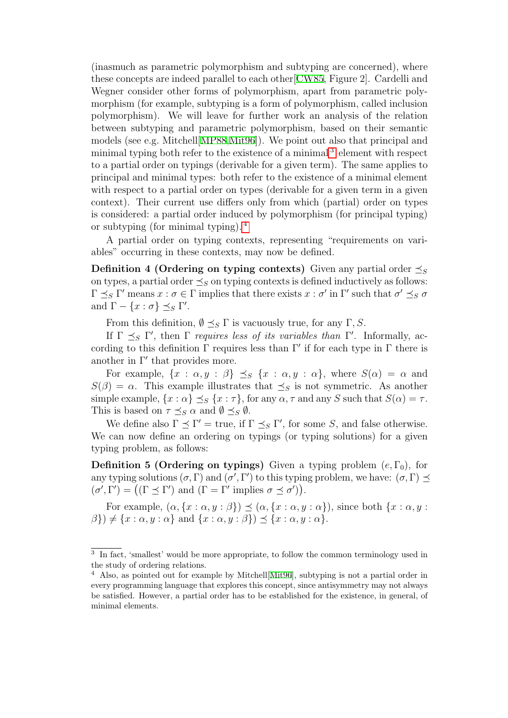(inasmuch as parametric polymorphism and subtyping are concerned), where these concepts are indeed parallel to each other[\[CW85](#page-11-7), Figure 2]. Cardelli and Wegner consider other forms of polymorphism, apart from parametric polymorphism (for example, subtyping is a form of polymorphism, called inclusion polymorphism). We will leave for further work an analysis of the relation between subtyping and parametric polymorphism, based on their semantic models (see e.g. Mitchell[\[MP88,](#page-12-13)[Mit96](#page-12-12)]). We point out also that principal and minimal typing both refer to the existence of a minimal<sup>[3](#page-5-0)</sup> element with respect to a partial order on typings (derivable for a given term). The same applies to principal and minimal types: both refer to the existence of a minimal element with respect to a partial order on types (derivable for a given term in a given context). Their current use differs only from which (partial) order on types is considered: a partial order induced by polymorphism (for principal typing) or subtyping (for minimal typing). [4](#page-5-1)

A partial order on typing contexts, representing "requirements on variables" occurring in these contexts, may now be defined.

**Definition 4 (Ordering on typing contexts)** Given any partial order  $\prec_{S}$ on types, a partial order  $\preceq_S$  on typing contexts is defined inductively as follows:  $Γ \preceq_S Γ'$  means  $x : σ ∈ Γ$  implies that there exists  $x : σ'$  in Γ' such that  $σ' \preceq_S σ$ and  $\Gamma - \{x : \sigma\} \preceq_S \Gamma'.$ 

From this definition,  $\emptyset \preceq_S \Gamma$  is vacuously true, for any  $\Gamma, S$ .

If  $\Gamma \preceq_S \Gamma'$ , then  $\Gamma$  requires less of its variables than  $\Gamma'$ . Informally, according to this definition  $\Gamma$  requires less than  $\Gamma'$  if for each type in  $\Gamma$  there is another in  $\Gamma'$  that provides more.

For example,  $\{x : \alpha, y : \beta\} \preceq_{S} \{x : \alpha, y : \alpha\}$ , where  $S(\alpha) = \alpha$  and  $S(\beta) = \alpha$ . This example illustrates that  $\preceq_S$  is not symmetric. As another simple example,  $\{x : \alpha\} \preceq_S \{x : \tau\}$ , for any  $\alpha, \tau$  and any S such that  $S(\alpha) = \tau$ . This is based on  $\tau \preceq_S \alpha$  and  $\emptyset \preceq_S \emptyset$ .

We define also  $\Gamma \preceq \Gamma'$  = true, if  $\Gamma \preceq_S \Gamma'$ , for some S, and false otherwise. We can now define an ordering on typings (or typing solutions) for a given typing problem, as follows:

**Definition 5 (Ordering on typings)** Given a typing problem  $(e, \Gamma_0)$ , for any typing solutions  $(\sigma, \Gamma)$  and  $(\sigma', \Gamma')$  to this typing problem, we have:  $(\sigma, \Gamma) \preceq$  $(\sigma', \Gamma') = ((\Gamma \preceq \Gamma') \text{ and } (\Gamma = \Gamma' \text{ implies } \sigma \preceq \sigma')).$ 

For example,  $(\alpha, \{x : \alpha, y : \beta\}) \preceq (\alpha, \{x : \alpha, y : \alpha\})$ , since both  $\{x : \alpha, y : \alpha\}$  $\{\beta\}\neq \{x : \alpha, y : \alpha\}$  and  $\{x : \alpha, y : \beta\}\preceq \{x : \alpha, y : \alpha\}.$ 

<span id="page-5-0"></span><sup>&</sup>lt;sup>3</sup> In fact, 'smallest' would be more appropriate, to follow the common terminology used in the study of ordering relations.

<span id="page-5-1"></span><sup>4</sup> Also, as pointed out for example by Mitchell[\[Mit96](#page-12-12)], subtyping is not a partial order in every programming language that explores this concept, since antisymmetry may not always be satisfied. However, a partial order has to be established for the existence, in general, of minimal elements.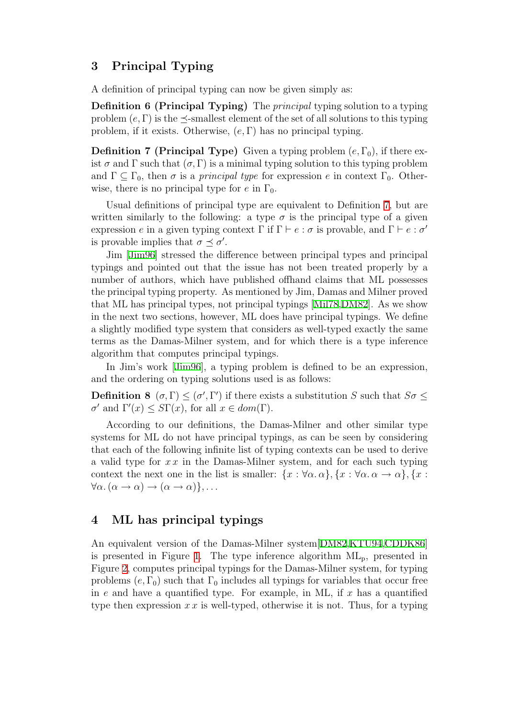# 3 Principal Typing

A definition of principal typing can now be given simply as:

Definition 6 (Principal Typing) The principal typing solution to a typing problem  $(e, \Gamma)$  is the  $\prec$ -smallest element of the set of all solutions to this typing problem, if it exists. Otherwise,  $(e, \Gamma)$  has no principal typing.

<span id="page-6-0"></span>**Definition 7 (Principal Type)** Given a typing problem  $(e, \Gamma_0)$ , if there exist  $\sigma$  and  $\Gamma$  such that  $(\sigma, \Gamma)$  is a minimal typing solution to this typing problem and  $\Gamma \subseteq \Gamma_0$ , then  $\sigma$  is a *principal type* for expression e in context  $\Gamma_0$ . Otherwise, there is no principal type for e in  $\Gamma_0$ .

Usual definitions of principal type are equivalent to Definition [7](#page-6-0), but are written similarly to the following: a type  $\sigma$  is the principal type of a given expression e in a given typing context  $\Gamma$  if  $\Gamma \vdash e : \sigma$  is provable, and  $\Gamma \vdash e : \sigma'$ is provable implies that  $\sigma \preceq \sigma'$ .

Jim [\[Jim96\]](#page-12-10) stressed the difference between principal types and principal typings and pointed out that the issue has not been treated properly by a number of authors, which have published offhand claims that ML possesses the principal typing property. As mentioned by Jim, Damas and Milner proved that ML has principal types, not principal typings[[Mil78,](#page-12-0)[DM82](#page-11-0)]. As we show in the next two sections, however, ML does have principal typings. We define a slightly modified type system that considers as well-typed exactly the same terms as the Damas-Milner system, and for which there is a type inference algorithm that computes principal typings.

In Jim's work[[Jim96\]](#page-12-10), a typing problem is defined to be an expression, and the ordering on typing solutions used is as follows:

**Definition 8** ( $\sigma, \Gamma$ )  $\leq (\sigma', \Gamma')$  if there exists a substitution S such that  $S\sigma \leq$  $\sigma'$  and  $\Gamma'(x) \leq S\Gamma(x)$ , for all  $x \in dom(\Gamma)$ .

According to our definitions, the Damas-Milner and other similar type systems for ML do not have principal typings, as can be seen by considering that each of the following infinite list of typing contexts can be used to derive a valid type for  $x x$  in the Damas-Milner system, and for each such typing context the next one in the list is smaller:  $\{x : \forall \alpha, \alpha\}, \{x : \forall \alpha, \alpha \to \alpha\}, \{x : \alpha, \alpha \to \alpha\}$  $\forall \alpha \ldotp (\alpha \rightarrow \alpha) \rightarrow (\alpha \rightarrow \alpha)\}, \ldots$ 

# 4 ML has principal typings

An equivalent version of the Damas-Milner system[\[DM82](#page-11-0),[KTU94,](#page-12-14)[CDDK86](#page-11-1)] is presented in Figure [1.](#page-7-0) The type inference algorithm  $ML_p$ , presented in Figure [2](#page-8-0), computes principal typings for the Damas-Milner system, for typing problems  $(e, \Gamma_0)$  such that  $\Gamma_0$  includes all typings for variables that occur free in e and have a quantified type. For example, in ML, if  $x$  has a quantified type then expression  $x \, x$  is well-typed, otherwise it is not. Thus, for a typing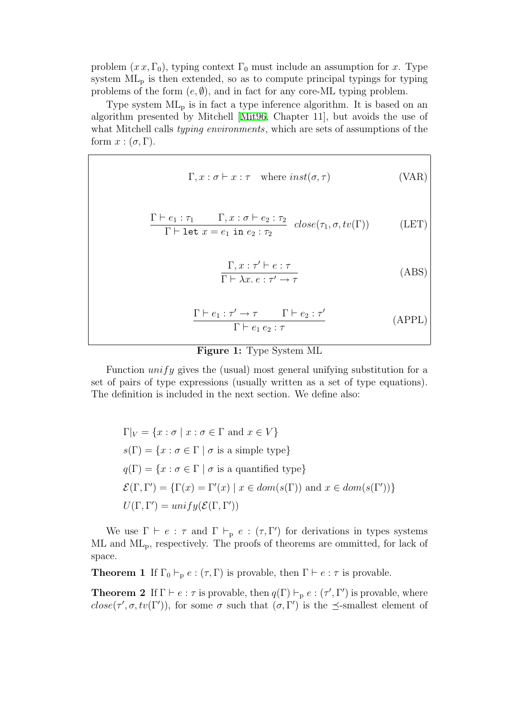problem  $(x x, \Gamma_0)$ , typing context  $\Gamma_0$  must include an assumption for x. Type system  $ML_p$  is then extended, so as to compute principal typings for typing problems of the form  $(e, \emptyset)$ , and in fact for any core-ML typing problem.

Type system  $ML_p$  is in fact a type inference algorithm. It is based on an algorithm presented by Mitchell[[Mit96](#page-12-12), Chapter 11], but avoids the use of what Mitchell calls *typing environments*, which are sets of assumptions of the form  $x : (\sigma, \Gamma)$ .

$$
\Gamma, x : \sigma \vdash x : \tau \quad \text{where } inst(\sigma, \tau) \tag{VAR}
$$

$$
\frac{\Gamma \vdash e_1 : \tau_1 \qquad \Gamma, x : \sigma \vdash e_2 : \tau_2}{\Gamma \vdash \text{let } x = e_1 \text{ in } e_2 : \tau_2} \quad close(\tau_1, \sigma, tv(\Gamma))
$$
 (LET)

$$
\frac{\Gamma, x : \tau' \vdash e : \tau}{\Gamma \vdash \lambda x. e : \tau' \to \tau}
$$
 (ABS)

$$
\frac{\Gamma \vdash e_1 : \tau' \to \tau \qquad \Gamma \vdash e_2 : \tau'}{\Gamma \vdash e_1 e_2 : \tau}
$$
 (APPL)

# Figure 1: Type System ML

<span id="page-7-0"></span>Function  $unify$  gives the (usual) most general unifying substitution for a set of pairs of type expressions (usually written as a set of type equations). The definition is included in the next section. We define also:

$$
\Gamma|_V = \{x : \sigma \mid x : \sigma \in \Gamma \text{ and } x \in V\}
$$
  
\n
$$
s(\Gamma) = \{x : \sigma \in \Gamma \mid \sigma \text{ is a simple type}\}
$$
  
\n
$$
q(\Gamma) = \{x : \sigma \in \Gamma \mid \sigma \text{ is a quantified type}\}
$$
  
\n
$$
\mathcal{E}(\Gamma, \Gamma') = \{\Gamma(x) = \Gamma'(x) \mid x \in dom(s(\Gamma)) \text{ and } x \in dom(s(\Gamma'))\}
$$
  
\n
$$
U(\Gamma, \Gamma') = unify(\mathcal{E}(\Gamma, \Gamma'))
$$

We use  $\Gamma \vdash e : \tau$  and  $\Gamma \vdash_{p} e : (\tau, \Gamma')$  for derivations in types systems  $ML$  and  $ML_p$ , respectively. The proofs of theorems are ommitted, for lack of space.

**Theorem 1** If  $\Gamma_0 \vdash_{\mathbf{p}} e : (\tau, \Gamma)$  is provable, then  $\Gamma \vdash e : \tau$  is provable.

**Theorem 2** If  $\Gamma \vdash e : \tau$  is provable, then  $q(\Gamma) \vdash_{p} e : (\tau', \Gamma')$  is provable, where close( $\tau', \sigma, tv(\Gamma')$ ), for some  $\sigma$  such that  $(\sigma, \Gamma')$  is the  $\preceq$ -smallest element of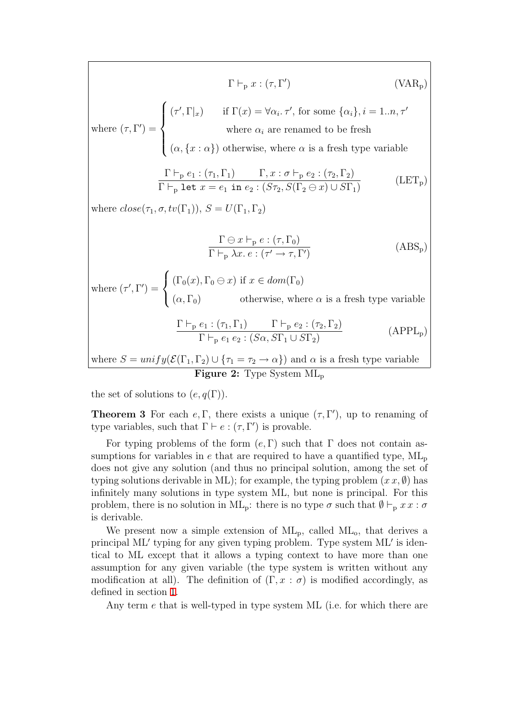$$
\Gamma \vdash_{p} x : (\tau, \Gamma') \qquad \text{(VAR}_{p})
$$
\nwhere  $(\tau, \Gamma') = \begin{cases}\n(\tau', \Gamma|x) & \text{if } \Gamma(x) = \forall \alpha_{i}, \tau', \text{ for some } \{\alpha_{i}\}, i = 1..n, \tau'\n\\
(\alpha, \{x : \alpha\}) & \text{otherwise, where } \alpha_{i} \text{ are renamed to be fresh}\n\end{cases}$ \n
$$
\frac{\Gamma \vdash_{p} e_{1} : (\tau_{1}, \Gamma_{1}) \qquad \Gamma, x : \sigma \vdash_{p} e_{2} : (\tau_{2}, \Gamma_{2})}{\Gamma \vdash_{p} \text{ let } x = e_{1} \text{ in } e_{2} : (S\tau_{2}, S(\Gamma_{2} \ominus x) \cup S\Gamma_{1})} \qquad \text{(LET}_{p})
$$
\nwhere  $close(\tau_{1}, \sigma, tv(\Gamma_{1})), S = U(\Gamma_{1}, \Gamma_{2})$ \n
$$
\frac{\Gamma \ominus x \vdash_{p} e : (\tau, \Gamma_{0})}{\Gamma \vdash_{p} \lambda x . e : (\tau' \rightarrow \tau, \Gamma')} \qquad \text{(ABS}_{p})
$$
\nwhere  $(\tau', \Gamma') = \begin{cases}\n(\Gamma_{0}(x), \Gamma_{0} \ominus x) & \text{if } x \in dom(\Gamma_{0}) \\
(\alpha, \Gamma_{0}) & \text{otherwise, where } \alpha \text{ is a fresh type variable}\n\end{cases}$ \n
$$
\frac{\Gamma \vdash_{p} e_{1} : (\tau_{1}, \Gamma_{1}) \qquad \Gamma \vdash_{p} e_{2} : (\tau_{2}, \Gamma_{2})}{\Gamma \vdash_{p} e_{1} e_{2} : (S\alpha, S\Gamma_{1} \cup S\Gamma_{2})} \qquad \text{(APPL}_{p})
$$
\nwhere  $S = unify(\mathcal{E}(\Gamma_{1}, \Gamma_{2}) \cup \{\tau_{1} = \tau_{2} \rightarrow \alpha\})$  and  $\alpha$  is a fresh type variable

Figure 2: Type System ML<sup>p</sup>

<span id="page-8-0"></span>the set of solutions to  $(e, q(\Gamma))$ .

 $\mathbf{I}$ 

**Theorem 3** For each  $e, \Gamma$ , there exists a unique  $(\tau, \Gamma')$ , up to renaming of type variables, such that  $\Gamma \vdash e : (\tau, \Gamma')$  is provable.

For typing problems of the form  $(e, \Gamma)$  such that  $\Gamma$  does not contain assumptions for variables in  $e$  that are required to have a quantified type,  $ML_p$ does not give any solution (and thus no principal solution, among the set of typing solutions derivable in ML); for example, the typing problem  $(x x, \emptyset)$  has infinitely many solutions in type system ML, but none is principal. For this problem, there is no solution in ML<sub>p</sub>: there is no type  $\sigma$  such that  $\emptyset \vdash_{p} x x : \sigma$ is derivable.

We present now a simple extension of  $ML_p$ , called  $ML_o$ , that derives a principal ML' typing for any given typing problem. Type system ML' is identical to ML except that it allows a typing context to have more than one assumption for any given variable (the type system is written without any modification at all). The definition of  $(\Gamma, x : \sigma)$  is modified accordingly, as defined in section [1.](#page-0-0)

Any term e that is well-typed in type system ML (i.e. for which there are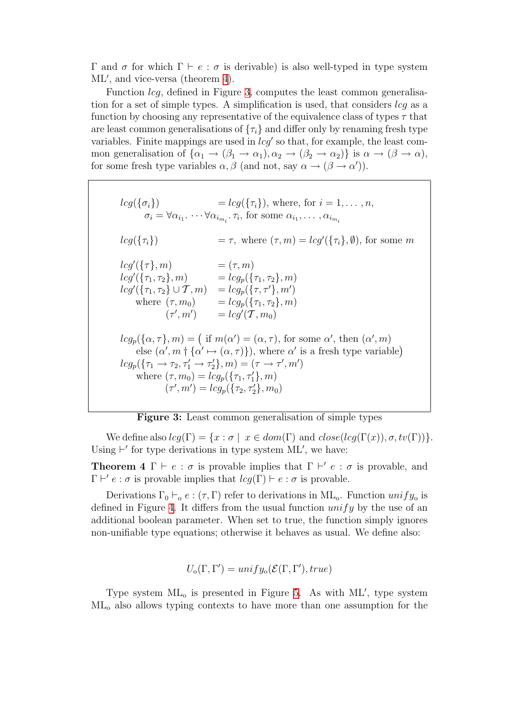Γ and σ for which  $\Gamma \vdash e : \sigma$  is derivable) is also well-typed in type system ML', and vice-versa (theorem [4](#page-9-0)).

Function lcg, defined in Figure [3,](#page-9-1) computes the least common generalisation for a set of simple types. A simplification is used, that considers  $l c q$  as a function by choosing any representative of the equivalence class of types  $\tau$  that are least common generalisations of  $\{\tau_i\}$  and differ only by renaming fresh type variables. Finite mappings are used in  $lcg'$  so that, for example, the least common generalisation of  $\{\alpha_1 \rightarrow (\beta_1 \rightarrow \alpha_1), \alpha_2 \rightarrow (\beta_2 \rightarrow \alpha_2)\}\$ is  $\alpha \rightarrow (\beta \rightarrow \alpha)$ , for some fresh type variables  $\alpha, \beta$  (and not, say  $\alpha \to (\beta \to \alpha')$ ).

 $lcg(\{\sigma_i\})$  =  $lcg(\{\tau_i\})$ , where, for  $i = 1, ..., n$ ,  $\sigma_i = \forall \alpha_{i_1} \dots \forall \alpha_{i_{m_i}}.\tau_i$ , for some  $\alpha_{i_1}, \dots, \alpha_{i_{m_i}}$  $leg({\tau_i})$  =  $\tau$ , where  $(\tau, m) = log'({\tau_i}, \emptyset)$ , for some m  $lcg'(\lbrace \tau \rbrace, m) = (\tau, m)$  $lcg'(\{\tau_1,\tau_2\},m) = lcg_p(\{\tau_1,\tau_2\},m)$  $lcg'(\lbrace \tau_1,\tau_2 \rbrace \cup \mathcal{T},m) \quad =lcg_p(\lbrace \tau,\tau'\rbrace,m')$ where  $(\tau, m_0)$  =  $l c g_p(\{\tau_1, \tau_2\}, m)$  $(\tau', m')$  =  $lcg'(\mathcal{T}, m_0)$  $lcg_p(\{\alpha,\tau\},m) = (if m(\alpha') = (\alpha,\tau), for some \alpha', then (\alpha',m)$ else  $(\alpha', m \dagger \{\alpha' \mapsto (\alpha, \tau)\})$ , where  $\alpha'$  is a fresh type variable)  $lcg_p(\lbrace \tau_1 \rightarrow \tau_2, \tau_1' \rightarrow \tau_2'\rbrace, m) = (\tau \rightarrow \tau', m')$ where  $(\tau, m_0) = \log_p(\{\tau_1, \tau_1'\}, m)$  $(\tau', m') = log_p(\{\tau_2, \tau_2'\}, m_0)$ 

Figure 3: Least common generalisation of simple types

<span id="page-9-1"></span>We define also  $lcq(\Gamma) = \{x : \sigma \mid x \in dom(\Gamma) \text{ and } close(lcq(\Gamma(x)), \sigma, tv(\Gamma))\}.$ Using  $\vdash'$  for type derivations in type system ML', we have:

<span id="page-9-0"></span>**Theorem 4**  $\Gamma \vdash e : \sigma$  is provable implies that  $\Gamma \vdash' e : \sigma$  is provable, and  $\Gamma \vdash' e : \sigma$  is provable implies that  $lcg(\Gamma) \vdash e : \sigma$  is provable.

Derivations  $\Gamma_0 \vdash_o e : (\tau, \Gamma)$  refer to derivations in ML<sub>o</sub>. Function unify<sub>o</sub> is defined in Figure [4.](#page-10-0) It differs from the usual function  $unify$  by the use of an additional boolean parameter. When set to true, the function simply ignores non-unifiable type equations; otherwise it behaves as usual. We define also:

$$
U_{o}(\Gamma,\Gamma') = unify_{o}(\mathcal{E}(\Gamma,\Gamma'),true)
$$

Type system  $ML_0$  is presented in Figure [5](#page-10-1). As with  $ML'$ , type system ML<sup>o</sup> also allows typing contexts to have more than one assumption for the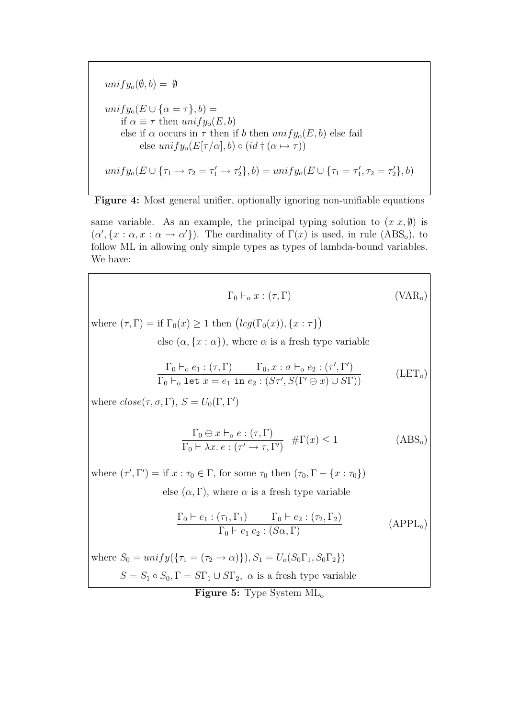$unify_o(\emptyset, b) = \emptyset$  $unify_{o}(E \cup {\alpha = \tau}, b) =$ if  $\alpha \equiv \tau$  then  $unify_{o}(E, b)$ else if  $\alpha$  occurs in  $\tau$  then if b then  $unify_{o}(E, b)$  else fail else  $unify_0(E[\tau/\alpha],b) \circ (id \dagger (\alpha \mapsto \tau))$  $unify_0(E \cup {\tau_1 \rightarrow \tau_2 = \tau_1' \rightarrow \tau_2'}, b) = unify_0(E \cup {\tau_1 = \tau_1'})$  $\tau'_1, \tau_2 = \tau'_2\}, b)$ 

<span id="page-10-0"></span>Figure 4: Most general unifier, optionally ignoring non-unifiable equations

same variable. As an example, the principal typing solution to  $(x, x, \emptyset)$  is  $(\alpha', \{x : \alpha, x : \alpha \to \alpha'\})$ . The cardinality of  $\Gamma(x)$  is used, in rule  $(ABS_o)$ , to follow ML in allowing only simple types as types of lambda-bound variables. We have:

$$
\Gamma_0 \vdash_o x : (\tau, \Gamma) \tag{VAR_o}
$$

where  $(\tau, \Gamma) = \text{if } \Gamma_0(x) \geq 1 \text{ then } (lcg(\Gamma_0(x)), \{x : \tau\})$ 

else  $(\alpha, \{x : \alpha\})$ , where  $\alpha$  is a fresh type variable

$$
\frac{\Gamma_0 \vdash_o e_1 : (\tau, \Gamma)}{\Gamma_0 \vdash_o \text{ let } x = e_1 \text{ in } e_2 : (S\tau', S(\Gamma' \ominus x) \cup S\Gamma))}
$$
\n(LET<sub>o</sub>)

where  $close(\tau, \sigma, \Gamma)$ ,  $S = U_0(\Gamma, \Gamma')$ 

$$
\frac{\Gamma_0 \ominus x \vdash_o e : (\tau, \Gamma)}{\Gamma_0 \vdash \lambda x. e : (\tau' \to \tau, \Gamma')} \quad \# \Gamma(x) \le 1
$$
\n(ABS<sub>o</sub>)

where  $(\tau', \Gamma') = \text{if } x : \tau_0 \in \Gamma$ , for some  $\tau_0$  then  $(\tau_0, \Gamma - \{x : \tau_0\})$ else  $(\alpha, \Gamma)$ , where  $\alpha$  is a fresh type variable

$$
\frac{\Gamma_0 \vdash e_1 : (\tau_1, \Gamma_1) \qquad \Gamma_0 \vdash e_2 : (\tau_2, \Gamma_2)}{\Gamma_0 \vdash e_1 \ e_2 : (S\alpha, \Gamma)} \tag{APPLo}
$$

<span id="page-10-1"></span>where  $S_0 = unify(\{\tau_1 = (\tau_2 \to \alpha)\}), S_1 = U_0(S_0\Gamma_1, S_0\Gamma_2)$  $S = S_1 \circ S_0, \Gamma = S\Gamma_1 \cup S\Gamma_2, \alpha$  is a fresh type variable

Figure 5: Type System  $ML_0$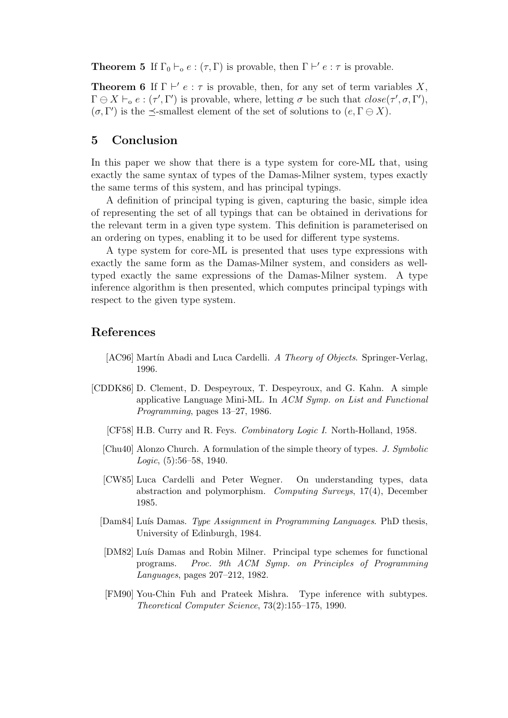**Theorem 5** If  $\Gamma_0 \vdash_{\alpha} e : (\tau, \Gamma)$  is provable, then  $\Gamma \vdash' e : \tau$  is provable.

**Theorem 6** If  $\Gamma \vdash' e : \tau$  is provable, then, for any set of term variables X,  $\Gamma \ominus X \vdash_{o} e : (\tau', \Gamma')$  is provable, where, letting  $\sigma$  be such that  $close(\tau', \sigma, \Gamma')$ ,  $(\sigma, \Gamma')$  is the  $\preceq$ -smallest element of the set of solutions to  $(e, \Gamma \ominus X)$ .

## 5 Conclusion

In this paper we show that there is a type system for core-ML that, using exactly the same syntax of types of the Damas-Milner system, types exactly the same terms of this system, and has principal typings.

A definition of principal typing is given, capturing the basic, simple idea of representing the set of all typings that can be obtained in derivations for the relevant term in a given type system. This definition is parameterised on an ordering on types, enabling it to be used for different type systems.

A type system for core-ML is presented that uses type expressions with exactly the same form as the Damas-Milner system, and considers as welltyped exactly the same expressions of the Damas-Milner system. A type inference algorithm is then presented, which computes principal typings with respect to the given type system.

### References

- <span id="page-11-6"></span>[AC96] Martín Abadi and Luca Cardelli. A Theory of Objects. Springer-Verlag, 1996.
- <span id="page-11-7"></span><span id="page-11-5"></span><span id="page-11-4"></span><span id="page-11-3"></span><span id="page-11-2"></span><span id="page-11-1"></span><span id="page-11-0"></span>[CDDK86] D. Clement, D. Despeyroux, T. Despeyroux, and G. Kahn. A simple applicative Language Mini-ML. In ACM Symp. on List and Functional Programming, pages 13–27, 1986.
	- [CF58] H.B. Curry and R. Feys. Combinatory Logic I. North-Holland, 1958.
	- [Chu40] Alonzo Church. A formulation of the simple theory of types. J. Symbolic Logic, (5):56–58, 1940.
	- [CW85] Luca Cardelli and Peter Wegner. On understanding types, data abstraction and polymorphism. Computing Surveys, 17(4), December 1985.
	- [Dam84] Luís Damas. Type Assignment in Programming Languages. PhD thesis, University of Edinburgh, 1984.
	- [DM82] Luís Damas and Robin Milner. Principal type schemes for functional programs. Proc. 9th ACM Symp. on Principles of Programming Languages, pages 207–212, 1982.
	- [FM90] You-Chin Fuh and Prateek Mishra. Type inference with subtypes. Theoretical Computer Science, 73(2):155–175, 1990.